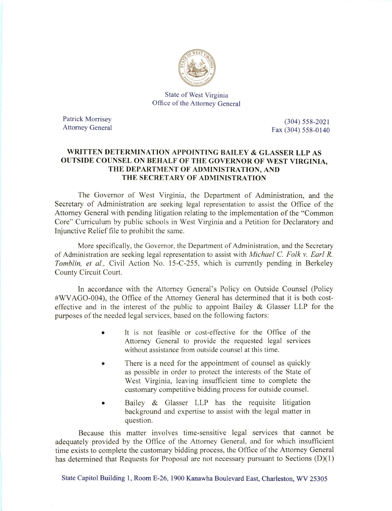

State of West Virginia Office of the Attorney General

Patrick Morrisey (304) 558-2021

Attorney General Fax (304) 558-0140

## WRITTEN DETERMINATION APPOINTING BAILEY & GLASSER LLP AS OUTSIDE COUNSEL ON BEHALF OF THE GOVERNOR OF WEST VIRGINIA, THE DEPARTMENT OF ADMINISTRATION, AND THE SECRETARY OF ADMINISTRATION

The Governor of West Virginia, the Department of Administration, and the Secretary of Administration are seeking legal representation to assist the Office of the Attorney General with pending litigation relating to the implementation of the "Common Core" Curriculum by public schools in West Virginia and a Petition for Declaratory and Injunctive Relief file to prohibit the same.

More specifically, the Governor, the Department of Administration, and the Secretary of Administration are seeking legal representation to assist with *Michael C. Folk v. Earl R.* Tomblin, et al, Civil Action No. 15-C-255, which is currently pending in Berkeley County Circuit Court.

In accordance with the Attorney General's Policy on Outside Counsel (Policy #WVAGO-004), the Office of the Attorney General has determined that it is both costeffective and in the interest of the public to appoint Bailey & Glasser LLP for the purposes of the needed legal services, based on the following factors;

- It is not feasible or cost-effective for the Office of the Attorney General to provide the requested legal services without assistance from outside counsel at this time.
- There is a need for the appointment of counsel as quickly as possible in order to protect the interests of the State of West Virginia, leaving insufficient time to complete the customary competitive bidding process for outside counsel.
- Bailey & Glasser LLP has the requisite litigation background and expertise to assist with the legal matter in question.

Because this matter involves time-sensitive legal services that cannot be adequately provided by the Office of the Attorney General, and for which insufficient time exists to complete the customary bidding process, the Office of the Attorney General has determined that Requests for Proposal are not necessary pursuant to Sections (D)(1)

State Capitol Building 1, Room E-26, 1900 Kanawha Boulevard East, Charleston, WV 25305